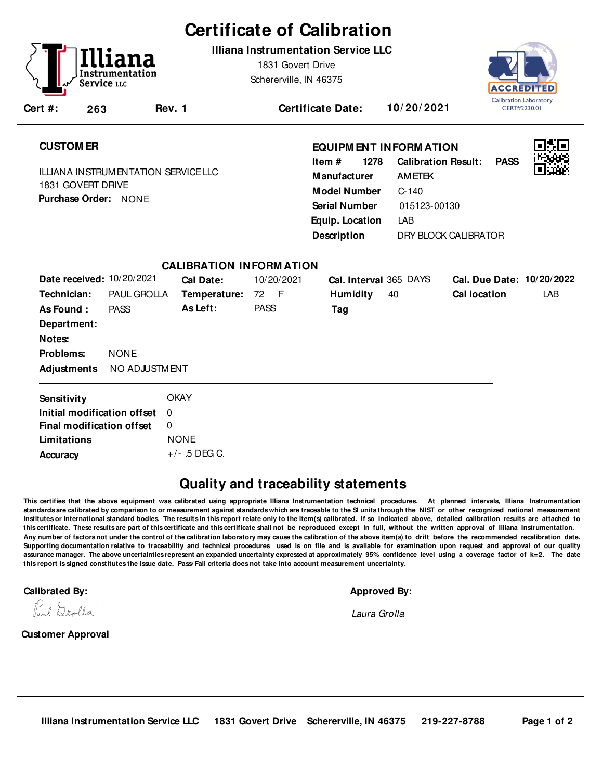# **Certificate of Calibration**

**Illiana Instrumentation Service LLC**

1831 Govert Drive Schererville, IN 46375



|--|

**Rev. 1 Certificate Date: 10/ 20/ 2021**

## **CUSTOM ER**

**Cert #: 263**

Service <sub>LLC</sub>

ILLIANA INSTRUMENTATION SERVICE LLC 1831 GOVERT DRIVE **Purchase Order:** NONE

## **EQUIPM ENT INFORM ATION**

**1278** LAB **Manufacturer** AMETEK **Model Number** C-140 **Equip. Location Calibration Result: PASS Description Item # Serial Number** 015123-00130 DRY BLOCK CALIBRATOR



| <b>CALIBRATION INFORMATION</b> |                    |                 |             |                        |                            |  |  |  |  |  |
|--------------------------------|--------------------|-----------------|-------------|------------------------|----------------------------|--|--|--|--|--|
| Date received: 10/20/2021      |                    | Cal Date:       | 10/20/2021  | Cal. Interval 365 DAYS | Cal. Due Date: 10/20/2022  |  |  |  |  |  |
| Technician:                    | <b>PAUL GROLLA</b> | Temperature:    | 72 F        | <b>Humidity</b><br>40  | LAB<br><b>Cal location</b> |  |  |  |  |  |
| As Found:                      | <b>PASS</b>        | As Left:        | <b>PASS</b> | Tag                    |                            |  |  |  |  |  |
| Department:                    |                    |                 |             |                        |                            |  |  |  |  |  |
| Notes:                         |                    |                 |             |                        |                            |  |  |  |  |  |
| Problems:                      | <b>NONE</b>        |                 |             |                        |                            |  |  |  |  |  |
| Adjustments                    | NO ADJUSTMENT      |                 |             |                        |                            |  |  |  |  |  |
| Sensitivity                    |                    | <b>OKAY</b>     |             |                        |                            |  |  |  |  |  |
| Initial modification offset    |                    | $\Omega$        |             |                        |                            |  |  |  |  |  |
| Final modification offset      |                    | 0               |             |                        |                            |  |  |  |  |  |
| Limitations                    |                    | <b>NONE</b>     |             |                        |                            |  |  |  |  |  |
| Accuracy                       |                    | $+/-$ .5 DEG C. |             |                        |                            |  |  |  |  |  |

## **Quality and traceability statements**

**This certifies that the above equipment was calibrated using appropriate Illiana Instrumentation technical procedures. At planned intervals, Illiana Instrumentation** standards are calibrated by comparison to or measurement against standards which are traceable to the SI units through the NIST or other recognized national measurement **institutes or international standard bodies. The results in this report relate only to the item(s) calibrated. If so indicated above, detailed calibration results are attached to this certificate. These results are part of this certificate and this certificate shall not be reproduced except in full, without the written approval of Illiana Instrumentation. Any number of factors not under the control of the calibration laboratory may cause the calibration of the above item(s) to drift before the recommended recalibration date. Supporting documentation relative to traceability and technical procedures used is on file and is available for examination upon request and approval of our quality assurance manager. The above uncertainties represent an expanded uncertainty expressed at approximately 95% confidence level using a coverage factor of k=2. The date this report is signed constitutes the issue date. Pass/ Fail criteria does not take into account measurement uncertainty.**-

**Calibrated By: Approved By: Approved By: Approved By: Approved By: Approved By: Approved By: Approved By: Approved By: Approved By: Approved By: Approved By: Approved By: Approved By: Approved** 

Pul Drolla

Laura Grolla

**Customer Approval**